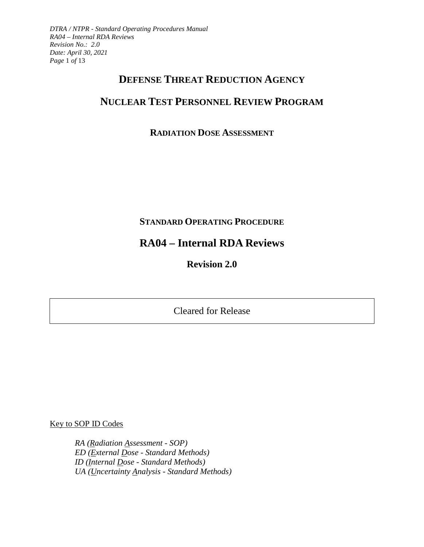*DTRA / NTPR - Standard Operating Procedures Manual RA04 – Internal RDA Reviews Revision No.: 2.0 Date: April 30, 2021 Page* 1 *of* 13

## **DEFENSE THREAT REDUCTION AGENCY**

# **NUCLEAR TEST PERSONNEL REVIEW PROGRAM**

## **RADIATION DOSE ASSESSMENT**

## **STANDARD OPERATING PROCEDURE**

# **RA04 – Internal RDA Reviews**

**Revision 2.0** 

Cleared for Release

Key to SOP ID Codes

*RA (Radiation Assessment - SOP) ED (External Dose - Standard Methods) ID (Internal Dose - Standard Methods) UA (Uncertainty Analysis - Standard Methods)*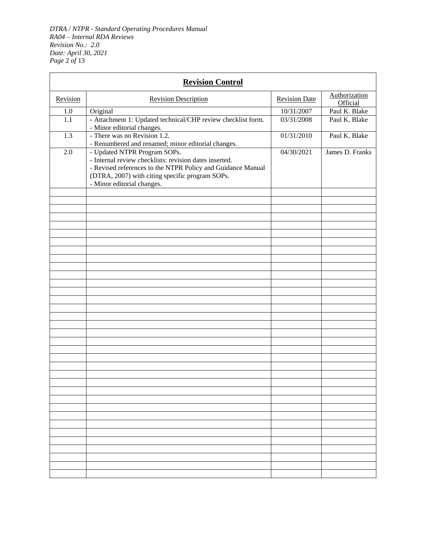*DTRA / NTPR - Standard Operating Procedures Manual RA04 – Internal RDA Reviews Revision No.: 2.0 Date: April 30, 2021 Page* 2 *of* 13

| <b>Revision Control</b> |                                                                                                                                                                                                                                        |                      |                           |  |  |
|-------------------------|----------------------------------------------------------------------------------------------------------------------------------------------------------------------------------------------------------------------------------------|----------------------|---------------------------|--|--|
| Revision                | <b>Revision Description</b>                                                                                                                                                                                                            | <b>Revision Date</b> | Authorization<br>Official |  |  |
| 1.0                     | Original                                                                                                                                                                                                                               | 10/31/2007           | Paul K. Blake             |  |  |
| 1.1                     | - Attachment 1: Updated technical/CHP review checklist form.<br>- Minor editorial changes.                                                                                                                                             | 03/31/2008           | Paul K. Blake             |  |  |
| 1.3                     | - There was no Revision 1.2.<br>- Renumbered and renamed; minor editorial changes.                                                                                                                                                     | 01/31/2010           | Paul K. Blake             |  |  |
| 2.0                     | - Updated NTPR Program SOPs.<br>- Internal review checklists: revision dates inserted.<br>- Revised references to the NTPR Policy and Guidance Manual<br>(DTRA, 2007) with citing specific program SOPs.<br>- Minor editorial changes. | 04/30/2021           | James D. Franks           |  |  |
|                         |                                                                                                                                                                                                                                        |                      |                           |  |  |
|                         |                                                                                                                                                                                                                                        |                      |                           |  |  |
|                         |                                                                                                                                                                                                                                        |                      |                           |  |  |
|                         |                                                                                                                                                                                                                                        |                      |                           |  |  |
|                         |                                                                                                                                                                                                                                        |                      |                           |  |  |
|                         |                                                                                                                                                                                                                                        |                      |                           |  |  |
|                         |                                                                                                                                                                                                                                        |                      |                           |  |  |
|                         |                                                                                                                                                                                                                                        |                      |                           |  |  |
|                         |                                                                                                                                                                                                                                        |                      |                           |  |  |
|                         |                                                                                                                                                                                                                                        |                      |                           |  |  |
|                         |                                                                                                                                                                                                                                        |                      |                           |  |  |
|                         |                                                                                                                                                                                                                                        |                      |                           |  |  |
|                         |                                                                                                                                                                                                                                        |                      |                           |  |  |
|                         |                                                                                                                                                                                                                                        |                      |                           |  |  |
|                         |                                                                                                                                                                                                                                        |                      |                           |  |  |
|                         |                                                                                                                                                                                                                                        |                      |                           |  |  |
|                         |                                                                                                                                                                                                                                        |                      |                           |  |  |
|                         |                                                                                                                                                                                                                                        |                      |                           |  |  |
|                         |                                                                                                                                                                                                                                        |                      |                           |  |  |
|                         |                                                                                                                                                                                                                                        |                      |                           |  |  |
|                         |                                                                                                                                                                                                                                        |                      |                           |  |  |
|                         |                                                                                                                                                                                                                                        |                      |                           |  |  |
|                         |                                                                                                                                                                                                                                        |                      |                           |  |  |
|                         |                                                                                                                                                                                                                                        |                      |                           |  |  |
|                         |                                                                                                                                                                                                                                        |                      |                           |  |  |
|                         |                                                                                                                                                                                                                                        |                      |                           |  |  |
|                         |                                                                                                                                                                                                                                        |                      |                           |  |  |
|                         |                                                                                                                                                                                                                                        |                      |                           |  |  |
|                         |                                                                                                                                                                                                                                        |                      |                           |  |  |
|                         |                                                                                                                                                                                                                                        |                      |                           |  |  |
|                         |                                                                                                                                                                                                                                        |                      |                           |  |  |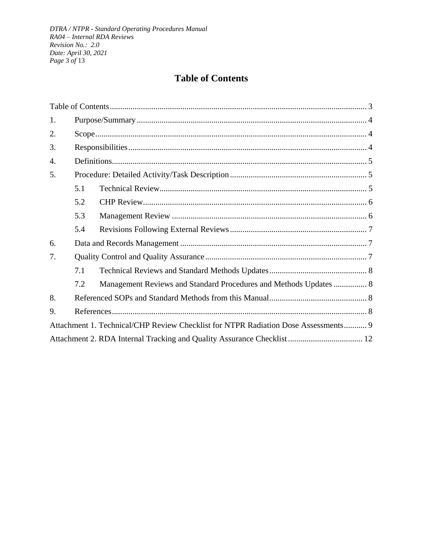# **Table of Contents**

<span id="page-2-0"></span>

| 1.                                                                                 |     |                                                                   |  |  |
|------------------------------------------------------------------------------------|-----|-------------------------------------------------------------------|--|--|
| 2.                                                                                 |     |                                                                   |  |  |
| 3.                                                                                 |     |                                                                   |  |  |
| 4.                                                                                 |     |                                                                   |  |  |
| 5.                                                                                 |     |                                                                   |  |  |
|                                                                                    | 5.1 |                                                                   |  |  |
|                                                                                    | 5.2 |                                                                   |  |  |
|                                                                                    | 5.3 |                                                                   |  |  |
|                                                                                    | 5.4 |                                                                   |  |  |
| 6.                                                                                 |     |                                                                   |  |  |
| 7.                                                                                 |     |                                                                   |  |  |
|                                                                                    | 7.1 |                                                                   |  |  |
|                                                                                    | 7.2 | Management Reviews and Standard Procedures and Methods Updates  8 |  |  |
| 8.                                                                                 |     |                                                                   |  |  |
| 9.                                                                                 |     |                                                                   |  |  |
| Attachment 1. Technical/CHP Review Checklist for NTPR Radiation Dose Assessments 9 |     |                                                                   |  |  |
|                                                                                    |     |                                                                   |  |  |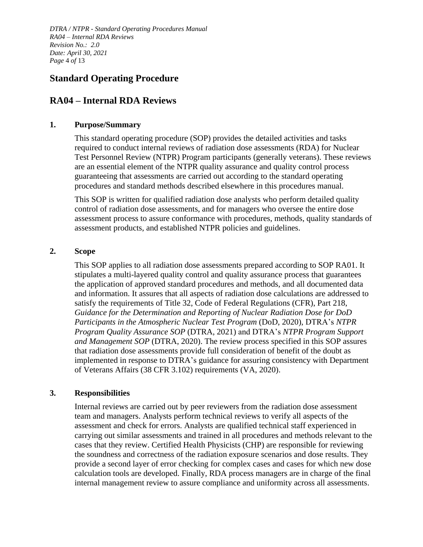*DTRA / NTPR - Standard Operating Procedures Manual RA04 – Internal RDA Reviews Revision No.: 2.0 Date: April 30, 2021 Page* 4 *of* 13

## **Standard Operating Procedure**

## **RA04 – Internal RDA Reviews**

## <span id="page-3-0"></span>**1. Purpose/Summary**

This standard operating procedure (SOP) provides the detailed activities and tasks required to conduct internal reviews of radiation dose assessments (RDA) for Nuclear Test Personnel Review (NTPR) Program participants (generally veterans). These reviews are an essential element of the NTPR quality assurance and quality control process guaranteeing that assessments are carried out according to the standard operating procedures and standard methods described elsewhere in this procedures manual.

This SOP is written for qualified radiation dose analysts who perform detailed quality control of radiation dose assessments, and for managers who oversee the entire dose assessment process to assure conformance with procedures, methods, quality standards of assessment products, and established NTPR policies and guidelines.

#### <span id="page-3-1"></span>**2. Scope**

This SOP applies to all radiation dose assessments prepared according to SOP RA01. It stipulates a multi-layered quality control and quality assurance process that guarantees the application of approved standard procedures and methods, and all documented data and information. It assures that all aspects of radiation dose calculations are addressed to satisfy the requirements of Title 32, Code of Federal Regulations (CFR), Part 218, *Guidance for the Determination and Reporting of Nuclear Radiation Dose for DoD Participants in the Atmospheric Nuclear Test Program* (DoD, 2020), DTRA's *NTPR Program Quality Assurance SOP* (DTRA, 2021) and DTRA's *NTPR Program Support and Management SOP* (DTRA, 2020). The review process specified in this SOP assures that radiation dose assessments provide full consideration of benefit of the doubt as implemented in response to DTRA's guidance for assuring consistency with Department of Veterans Affairs (38 CFR 3.102) requirements (VA, 2020).

## <span id="page-3-2"></span>**3. Responsibilities**

Internal reviews are carried out by peer reviewers from the radiation dose assessment team and managers. Analysts perform technical reviews to verify all aspects of the assessment and check for errors. Analysts are qualified technical staff experienced in carrying out similar assessments and trained in all procedures and methods relevant to the cases that they review. Certified Health Physicists (CHP) are responsible for reviewing the soundness and correctness of the radiation exposure scenarios and dose results. They provide a second layer of error checking for complex cases and cases for which new dose calculation tools are developed. Finally, RDA process managers are in charge of the final internal management review to assure compliance and uniformity across all assessments.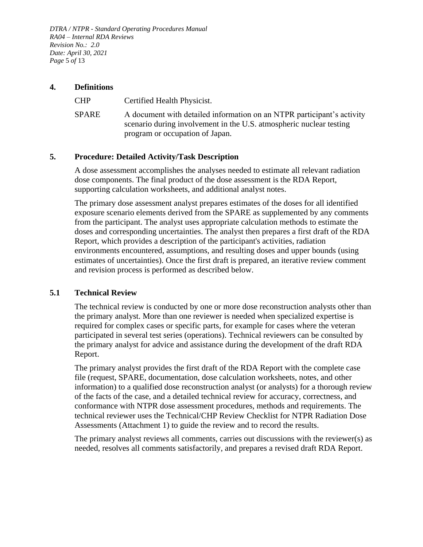*DTRA / NTPR - Standard Operating Procedures Manual RA04 – Internal RDA Reviews Revision No.: 2.0 Date: April 30, 2021 Page* 5 *of* 13

## <span id="page-4-0"></span>**4. Definitions**

CHP Certified Health Physicist. SPARE A document with detailed information on an NTPR participant's activity scenario during involvement in the U.S. atmospheric nuclear testing program or occupation of Japan.

## <span id="page-4-1"></span>**5. Procedure: Detailed Activity/Task Description**

A dose assessment accomplishes the analyses needed to estimate all relevant radiation dose components. The final product of the dose assessment is the RDA Report, supporting calculation worksheets, and additional analyst notes.

The primary dose assessment analyst prepares estimates of the doses for all identified exposure scenario elements derived from the SPARE as supplemented by any comments from the participant. The analyst uses appropriate calculation methods to estimate the doses and corresponding uncertainties. The analyst then prepares a first draft of the RDA Report, which provides a description of the participant's activities, radiation environments encountered, assumptions, and resulting doses and upper bounds (using estimates of uncertainties). Once the first draft is prepared, an iterative review comment and revision process is performed as described below.

## <span id="page-4-2"></span>**5.1 Technical Review**

The technical review is conducted by one or more dose reconstruction analysts other than the primary analyst. More than one reviewer is needed when specialized expertise is required for complex cases or specific parts, for example for cases where the veteran participated in several test series (operations). Technical reviewers can be consulted by the primary analyst for advice and assistance during the development of the draft RDA Report.

The primary analyst provides the first draft of the RDA Report with the complete case file (request, SPARE, documentation, dose calculation worksheets, notes, and other information) to a qualified dose reconstruction analyst (or analysts) for a thorough review of the facts of the case, and a detailed technical review for accuracy, correctness, and conformance with NTPR dose assessment procedures, methods and requirements. The technical reviewer uses the Technical/CHP Review Checklist for NTPR Radiation Dose Assessments [\(Attachment 1\)](#page-8-1) to guide the review and to record the results.

The primary analyst reviews all comments, carries out discussions with the reviewer(s) as needed, resolves all comments satisfactorily, and prepares a revised draft RDA Report.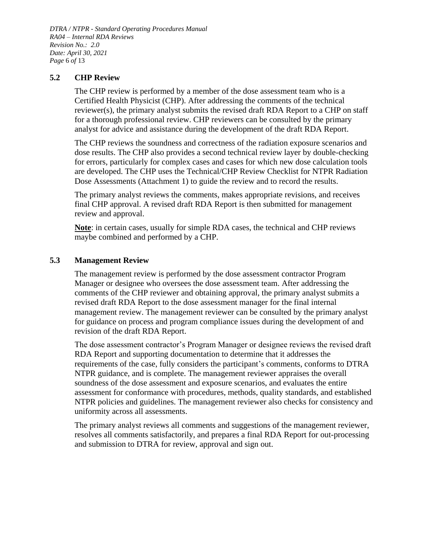*DTRA / NTPR - Standard Operating Procedures Manual RA04 – Internal RDA Reviews Revision No.: 2.0 Date: April 30, 2021 Page* 6 *of* 13

## <span id="page-5-0"></span>**5.2 CHP Review**

The CHP review is performed by a member of the dose assessment team who is a Certified Health Physicist (CHP). After addressing the comments of the technical reviewer(s), the primary analyst submits the revised draft RDA Report to a CHP on staff for a thorough professional review. CHP reviewers can be consulted by the primary analyst for advice and assistance during the development of the draft RDA Report.

The CHP reviews the soundness and correctness of the radiation exposure scenarios and dose results. The CHP also provides a second technical review layer by double-checking for errors, particularly for complex cases and cases for which new dose calculation tools are developed. The CHP uses the Technical/CHP Review Checklist for NTPR Radiation Dose Assessments [\(Attachment 1\)](#page-8-1) to guide the review and to record the results.

The primary analyst reviews the comments, makes appropriate revisions, and receives final CHP approval. A revised draft RDA Report is then submitted for management review and approval.

**Note**: in certain cases, usually for simple RDA cases, the technical and CHP reviews maybe combined and performed by a CHP.

## <span id="page-5-1"></span>**5.3 Management Review**

The management review is performed by the dose assessment contractor Program Manager or designee who oversees the dose assessment team. After addressing the comments of the CHP reviewer and obtaining approval, the primary analyst submits a revised draft RDA Report to the dose assessment manager for the final internal management review. The management reviewer can be consulted by the primary analyst for guidance on process and program compliance issues during the development of and revision of the draft RDA Report.

The dose assessment contractor's Program Manager or designee reviews the revised draft RDA Report and supporting documentation to determine that it addresses the requirements of the case, fully considers the participant's comments, conforms to DTRA NTPR guidance, and is complete. The management reviewer appraises the overall soundness of the dose assessment and exposure scenarios, and evaluates the entire assessment for conformance with procedures, methods, quality standards, and established NTPR policies and guidelines. The management reviewer also checks for consistency and uniformity across all assessments.

The primary analyst reviews all comments and suggestions of the management reviewer, resolves all comments satisfactorily, and prepares a final RDA Report for out-processing and submission to DTRA for review, approval and sign out.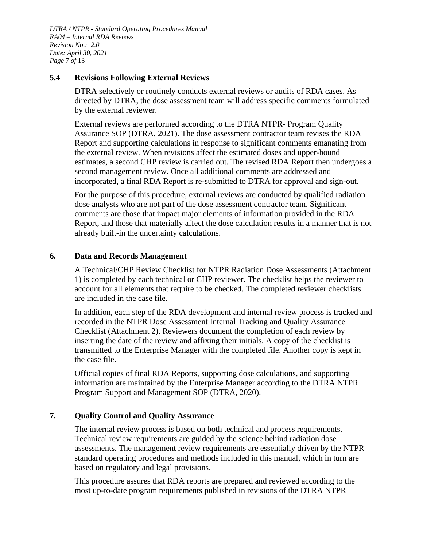*DTRA / NTPR - Standard Operating Procedures Manual RA04 – Internal RDA Reviews Revision No.: 2.0 Date: April 30, 2021 Page* 7 *of* 13

## <span id="page-6-0"></span>**5.4 Revisions Following External Reviews**

DTRA selectively or routinely conducts external reviews or audits of RDA cases. As directed by DTRA, the dose assessment team will address specific comments formulated by the external reviewer.

External reviews are performed according to the DTRA NTPR- Program Quality Assurance SOP (DTRA, 2021). The dose assessment contractor team revises the RDA Report and supporting calculations in response to significant comments emanating from the external review. When revisions affect the estimated doses and upper-bound estimates, a second CHP review is carried out. The revised RDA Report then undergoes a second management review. Once all additional comments are addressed and incorporated, a final RDA Report is re-submitted to DTRA for approval and sign-out.

For the purpose of this procedure, external reviews are conducted by qualified radiation dose analysts who are not part of the dose assessment contractor team. Significant comments are those that impact major elements of information provided in the RDA Report, and those that materially affect the dose calculation results in a manner that is not already built-in the uncertainty calculations.

## <span id="page-6-1"></span>**6. Data and Records Management**

A Technical/CHP Review Checklist for NTPR Radiation Dose Assessments [\(Attachment](#page-8-1)  [1\)](#page-8-1) is completed by each technical or CHP reviewer. The checklist helps the reviewer to account for all elements that require to be checked. The completed reviewer checklists are included in the case file.

In addition, each step of the RDA development and internal review process is tracked and recorded in the NTPR Dose Assessment Internal Tracking and Quality Assurance Checklist [\(Attachment 2\)](#page-11-1). Reviewers document the completion of each review by inserting the date of the review and affixing their initials. A copy of the checklist is transmitted to the Enterprise Manager with the completed file. Another copy is kept in the case file.

Official copies of final RDA Reports, supporting dose calculations, and supporting information are maintained by the Enterprise Manager according to the DTRA NTPR Program Support and Management SOP (DTRA, 2020).

## <span id="page-6-2"></span>**7. Quality Control and Quality Assurance**

The internal review process is based on both technical and process requirements. Technical review requirements are guided by the science behind radiation dose assessments. The management review requirements are essentially driven by the NTPR standard operating procedures and methods included in this manual, which in turn are based on regulatory and legal provisions.

This procedure assures that RDA reports are prepared and reviewed according to the most up-to-date program requirements published in revisions of the DTRA NTPR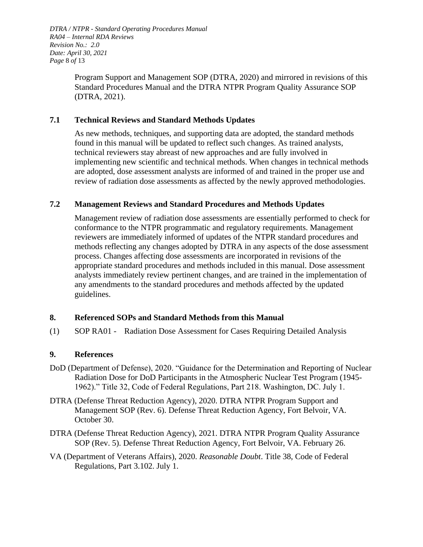*DTRA / NTPR - Standard Operating Procedures Manual RA04 – Internal RDA Reviews Revision No.: 2.0 Date: April 30, 2021 Page* 8 *of* 13

> Program Support and Management SOP (DTRA, 2020) and mirrored in revisions of this Standard Procedures Manual and the DTRA NTPR Program Quality Assurance SOP (DTRA, 2021).

## <span id="page-7-0"></span>**7.1 Technical Reviews and Standard Methods Updates**

As new methods, techniques, and supporting data are adopted, the standard methods found in this manual will be updated to reflect such changes. As trained analysts, technical reviewers stay abreast of new approaches and are fully involved in implementing new scientific and technical methods. When changes in technical methods are adopted, dose assessment analysts are informed of and trained in the proper use and review of radiation dose assessments as affected by the newly approved methodologies.

## <span id="page-7-1"></span>**7.2 Management Reviews and Standard Procedures and Methods Updates**

Management review of radiation dose assessments are essentially performed to check for conformance to the NTPR programmatic and regulatory requirements. Management reviewers are immediately informed of updates of the NTPR standard procedures and methods reflecting any changes adopted by DTRA in any aspects of the dose assessment process. Changes affecting dose assessments are incorporated in revisions of the appropriate standard procedures and methods included in this manual. Dose assessment analysts immediately review pertinent changes, and are trained in the implementation of any amendments to the standard procedures and methods affected by the updated guidelines.

## <span id="page-7-2"></span>**8. Referenced SOPs and Standard Methods from this Manual**

(1) SOP RA01 - Radiation Dose Assessment for Cases Requiring Detailed Analysis

## <span id="page-7-3"></span>**9. References**

- DoD (Department of Defense), 2020. "Guidance for the Determination and Reporting of Nuclear Radiation Dose for DoD Participants in the Atmospheric Nuclear Test Program (1945- 1962)." Title 32, Code of Federal Regulations, Part 218. Washington, DC. July 1.
- DTRA (Defense Threat Reduction Agency), 2020. DTRA NTPR Program Support and Management SOP (Rev. 6). Defense Threat Reduction Agency, Fort Belvoir, VA. October 30.
- DTRA (Defense Threat Reduction Agency), 2021. DTRA NTPR Program Quality Assurance SOP (Rev. 5). Defense Threat Reduction Agency, Fort Belvoir, VA. February 26.
- VA (Department of Veterans Affairs), 2020. *Reasonable Doubt*. Title 38, Code of Federal Regulations, Part 3.102. July 1.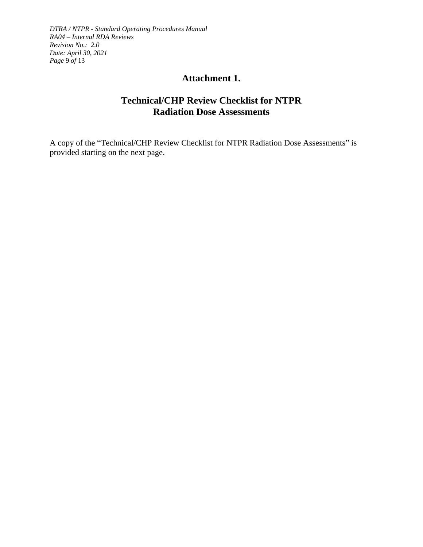<span id="page-8-1"></span>*DTRA / NTPR - Standard Operating Procedures Manual RA04 – Internal RDA Reviews Revision No.: 2.0 Date: April 30, 2021 Page* 9 *of* 13

## **Attachment 1.**

## **Technical/CHP Review Checklist for NTPR Radiation Dose Assessments**

<span id="page-8-0"></span>A copy of the "Technical/CHP Review Checklist for NTPR Radiation Dose Assessments" is provided starting on the next page.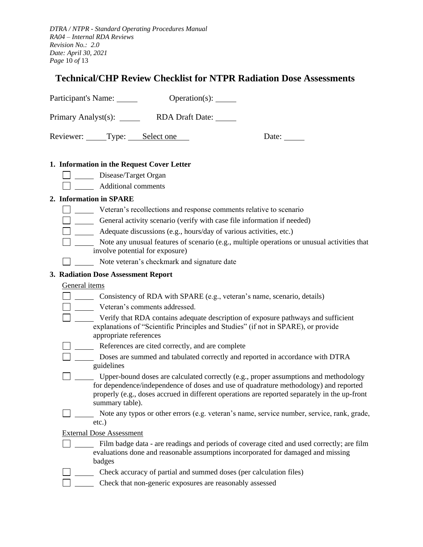*DTRA / NTPR - Standard Operating Procedures Manual RA04 – Internal RDA Reviews Revision No.: 2.0 Date: April 30, 2021 Page* 10 *of* 13

## **Technical/CHP Review Checklist for NTPR Radiation Dose Assessments**

Participant's Name: Operation(s): \_\_\_\_\_\_

Primary Analyst(s): RDA Draft Date:

Reviewer: Type: Select one Date: Date:

#### **1. Information in the Request Cover Letter**

- Disease/Target Organ
- Additional comments

## **2. Information in SPARE**

- Veteran's recollections and response comments relative to scenario
- General activity scenario (verify with case file information if needed)
- Adequate discussions (e.g., hours/day of various activities, etc.)
- Note any unusual features of scenario (e.g., multiple operations or unusual activities that involve potential for exposure)
- Note veteran's checkmark and signature date

#### **3. Radiation Dose Assessment Report**

#### General items

- Consistency of RDA with SPARE (e.g., veteran's name, scenario, details)
- U \_\_\_\_\_\_\_ Veteran's comments addressed.
- □ \_\_\_\_\_\_ Verify that RDA contains adequate description of exposure pathways and sufficient explanations of "Scientific Principles and Studies" (if not in SPARE), or provide appropriate references
- References are cited correctly, and are complete
- Doses are summed and tabulated correctly and reported in accordance with DTRA guidelines
- Upper-bound doses are calculated correctly (e.g., proper assumptions and methodology for dependence/independence of doses and use of quadrature methodology) and reported properly (e.g., doses accrued in different operations are reported separately in the up-front summary table).
- Note any typos or other errors (e.g. veteran's name, service number, service, rank, grade, etc.)

External Dose Assessment

- Film badge data are readings and periods of coverage cited and used correctly; are film evaluations done and reasonable assumptions incorporated for damaged and missing badges
- Check accuracy of partial and summed doses (per calculation files)
- Check that non-generic exposures are reasonably assessed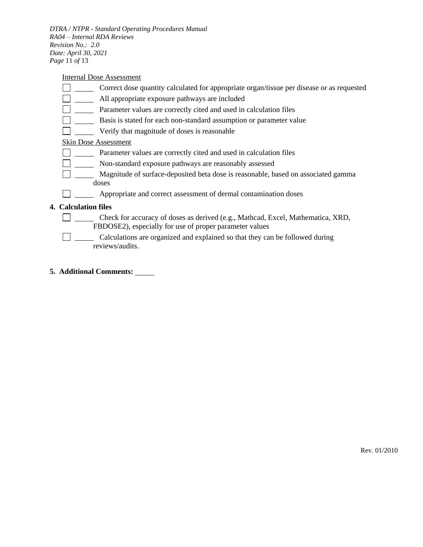*DTRA / NTPR - Standard Operating Procedures Manual RA04 – Internal RDA Reviews Revision No.: 2.0 Date: April 30, 2021 Page* 11 *of* 13

Internal Dose Assessment

- Correct dose quantity calculated for appropriate organ/tissue per disease or as requested
- **Example 2** All appropriate exposure pathways are included
- **Parameter values are correctly cited and used in calculation files**
- **Basis is stated for each non-standard assumption or parameter value**
- Verify that magnitude of doses is reasonable  $\Box$

## Skin Dose Assessment

- Parameter values are correctly cited and used in calculation files
- Non-standard exposure pathways are reasonably assessed
- $\Box$ Magnitude of surface-deposited beta dose is reasonable, based on associated gamma doses
- **Example 3** Appropriate and correct assessment of dermal contamination doses

#### **4. Calculation files**

- $\Box$ Check for accuracy of doses as derived (e.g., Mathcad, Excel, Mathematica, XRD, FBDOSE2), especially for use of proper parameter values
- Calculations are organized and explained so that they can be followed during reviews/audits.
- **5. Additional Comments:**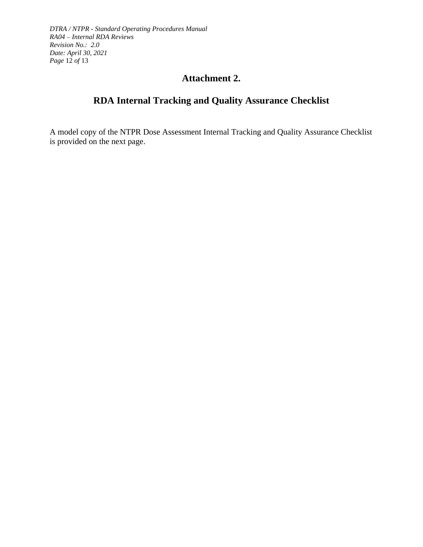<span id="page-11-1"></span>*DTRA / NTPR - Standard Operating Procedures Manual RA04 – Internal RDA Reviews Revision No.: 2.0 Date: April 30, 2021 Page* 12 *of* 13

## **Attachment 2.**

# **RDA Internal Tracking and Quality Assurance Checklist**

<span id="page-11-0"></span>A model copy of the NTPR Dose Assessment Internal Tracking and Quality Assurance Checklist is provided on the next page.